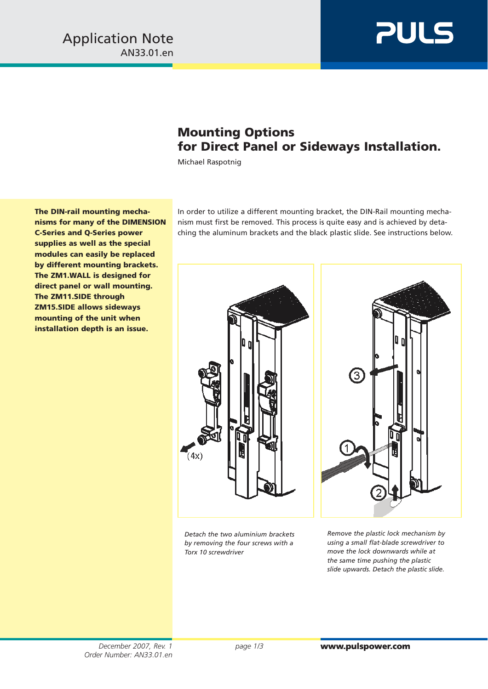

## **Mounting Options for Direct Panel or Sideways Installation.**

Michael Raspotnig

**The DIN-rail mounting mechanisms for many of the DIMENSION C-Series and Q-Series power supplies as well as the special modules can easily be replaced by different mounting brackets. The ZM1.WALL is designed for direct panel or wall mounting. The ZM11.SIDE through ZM15.SIDE allows sideways mounting of the unit when installation depth is an issue.**

In order to utilize a different mounting bracket, the DIN-Rail mounting mechanism must first be removed. This process is quite easy and is achieved by detaching the aluminum brackets and the black plastic slide. See instructions below.



*Detach the two aluminium brackets by removing the four screws with a Torx 10 screwdriver* 



*Remove the plastic lock mechanism by using a small flat-blade screwdriver to move the lock downwards while at the same time pushing the plastic slide upwards. Detach the plastic slide.*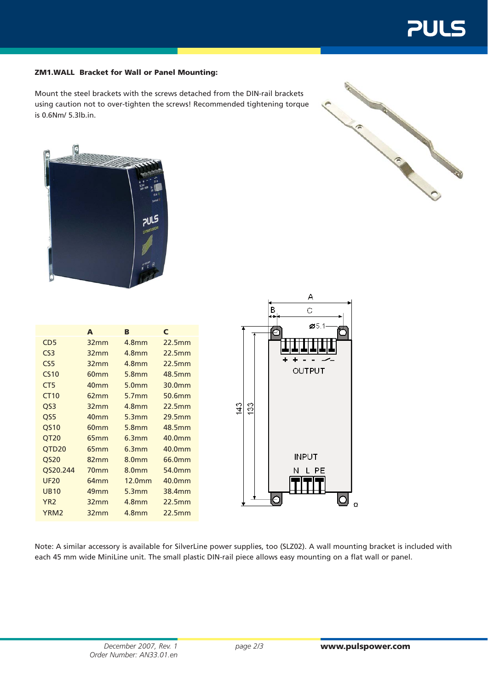## **ZM1.WALL Bracket for Wall or Panel Mounting:**

Mount the steel brackets with the screws detached from the DIN-rail brackets using caution not to over-tighten the screws! Recommended tightening torque is 0.6Nm/ 5.3lb.in.





|                   | A                | B                 | C      |  |
|-------------------|------------------|-------------------|--------|--|
| CD <sub>5</sub>   | 32mm             | 4.8 <sub>mm</sub> | 22.5mm |  |
| CS <sub>3</sub>   | 32mm             | 4.8 <sub>mm</sub> | 22.5mm |  |
| CS <sub>5</sub>   | 32mm             | 4.8 <sub>mm</sub> | 22.5mm |  |
| <b>CS10</b>       | 60 <sub>mm</sub> | 5.8 <sub>mm</sub> | 48.5mm |  |
| CT <sub>5</sub>   | 40 <sub>mm</sub> | 5.0 <sub>mm</sub> | 30.0mm |  |
| <b>CT10</b>       | 62mm             | 5.7 <sub>mm</sub> | 50.6mm |  |
| QS <sub>3</sub>   | 32mm             | 4.8 <sub>mm</sub> | 22.5mm |  |
| QS5               | 40 <sub>mm</sub> | 5.3mm             | 29.5mm |  |
| QS10              | 60 <sub>mm</sub> | 5.8 <sub>mm</sub> | 48.5mm |  |
| QT <sub>20</sub>  | 65mm             | 6.3mm             | 40.0mm |  |
| QTD <sub>20</sub> | 65 <sub>mm</sub> | 6.3mm             | 40.0mm |  |
| <b>QS20</b>       | 82mm             | 8.0 <sub>mm</sub> | 66.0mm |  |
| QS20.244          | 70 <sub>mm</sub> | 8.0 <sub>mm</sub> | 54.0mm |  |
| <b>UF20</b>       | 64mm             | 12.0mm            | 40.0mm |  |
| <b>UB10</b>       | 49 <sub>mm</sub> | 5.3mm             | 38.4mm |  |
| YR <sub>2</sub>   | 32mm             | 4.8 <sub>mm</sub> | 22.5mm |  |
| YRM <sub>2</sub>  | 32mm             | <b>4.8mm</b>      | 22.5mm |  |



Note: A similar accessory is available for SilverLine power supplies, too (SLZ02). A wall mounting bracket is included with each 45 mm wide MiniLine unit. The small plastic DIN-rail piece allows easy mounting on a flat wall or panel.